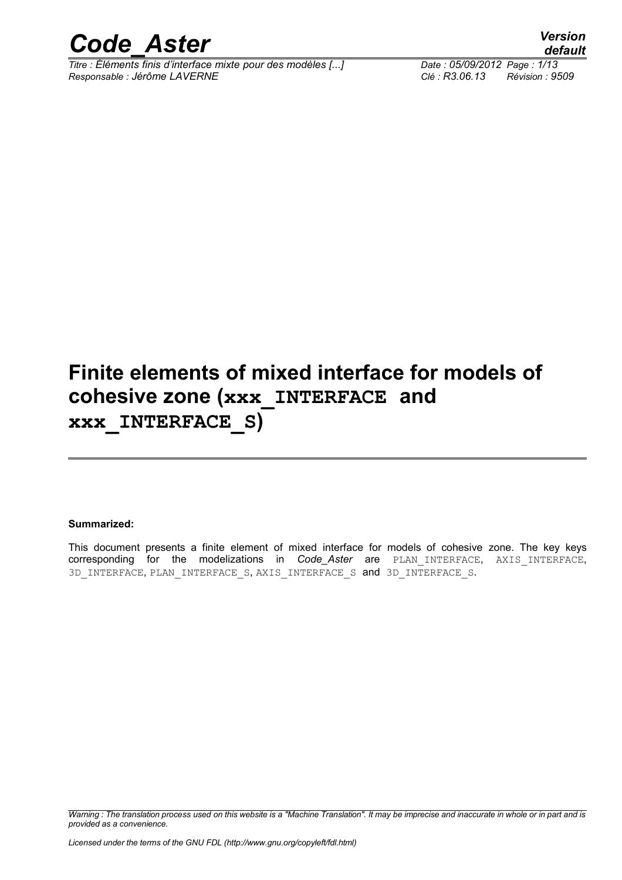

*Titre : Éléments finis d'interface mixte pour des modèles [...] Date : 05/09/2012 Page : 1/13 Responsable : Jérôme LAVERNE Clé : R3.06.13 Révision : 9509*

*default*

### **Finite elements of mixed interface for models of cohesive zone (xxx\_INTERFACE and xxx\_INTERFACE\_S)**

#### **Summarized:**

This document presents a finite element of mixed interface for models of cohesive zone. The key keys corresponding for the modelizations in *Code\_Aster* are PLAN\_INTERFACE, AXIS\_INTERFACE, 3D\_INTERFACE, PLAN\_INTERFACE\_S, AXIS\_INTERFACE\_S and 3D\_INTERFACE\_S.

*Warning : The translation process used on this website is a "Machine Translation". It may be imprecise and inaccurate in whole or in part and is provided as a convenience.*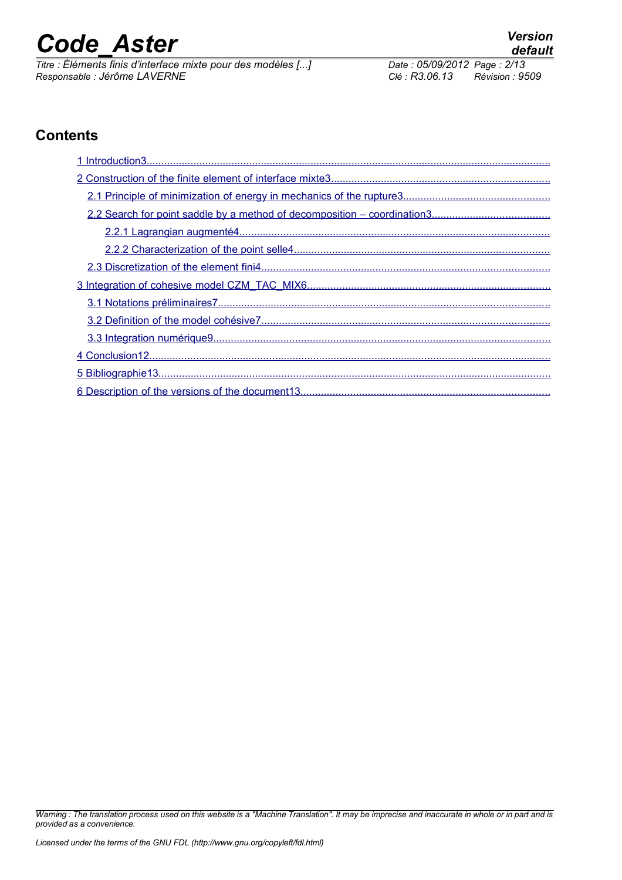*Titre : Éléments finis d'interface mixte pour des modèles [...] Date : 05/09/2012 Page : 2/13 Responsable : Jérôme LAVERNE Clé : R3.06.13 Révision : 9509*

### **Contents**

*Warning : The translation process used on this website is a "Machine Translation". It may be imprecise and inaccurate in whole or in part and is provided as a convenience.*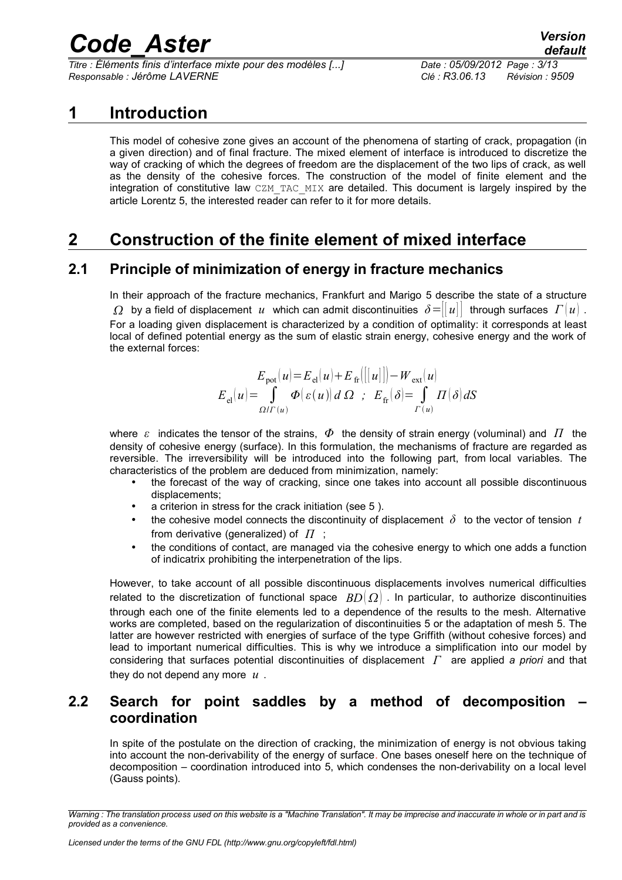*Titre : Éléments finis d'interface mixte pour des modèles [...] Date : 05/09/2012 Page : 3/13 Responsable : Jérôme LAVERNE Clé : R3.06.13 Révision : 9509*

### **1 Introduction**

<span id="page-2-0"></span>This model of cohesive zone gives an account of the phenomena of starting of crack, propagation (in a given direction) and of final fracture. The mixed element of interface is introduced to discretize the way of cracking of which the degrees of freedom are the displacement of the two lips of crack, as well as the density of the cohesive forces. The construction of the model of finite element and the integration of constitutive law CZM TAC MIX are detailed. This document is largely inspired by the article Lorentz [5,](#page-12-2) the interested reader can refer to it for more details.

### <span id="page-2-3"></span>**2 Construction of the finite element of mixed interface**

### **2.1 Principle of minimization of energy in fracture mechanics**

<span id="page-2-2"></span>In their approach of the fracture mechanics, Frankfurt and Marigo [5](#page-12-7) describe the state of a structure *Ω* by a field of displacement *u* which can admit discontinuities  $\delta = ||u||$  through surfaces  $\Gamma(u)$ . For a loading given displacement is characterized by a condition of optimality: it corresponds at least local of defined potential energy as the sum of elastic strain energy, cohesive energy and the work of the external forces:

$$
E_{\text{pot}}(u) = E_{\text{el}}(u) + E_{\text{fr}}(||[u||] - W_{\text{ext}}(u)
$$
  

$$
E_{\text{el}}(u) = \int_{\Omega/\Gamma(u)} \Phi(\varepsilon(u)) d\Omega \quad ; \quad E_{\text{fr}}(\delta) = \int_{\Gamma(u)} \Pi(\delta) dS
$$

where *ε* indicates the tensor of the strains, *Φ* the density of strain energy (voluminal) and *Π* the density of cohesive energy (surface). In this formulation, the mechanisms of fracture are regarded as reversible. The irreversibility will be introduced into the following part, from local variables. The characteristics of the problem are deduced from minimization, namely:

- the forecast of the way of cracking, since one takes into account all possible discontinuous displacements;
- a criterion in stress for the crack initiation (see [5](#page-12-6)).
- the cohesive model connects the discontinuity of displacement  $\delta$  to the vector of tension  $t$ from derivative (generalized) of *Π* ;
- the conditions of contact, are managed via the cohesive energy to which one adds a function of indicatrix prohibiting the interpenetration of the lips.

However, to take account of all possible discontinuous displacements involves numerical difficulties related to the discretization of functional space  $BD|\Omega|$ . In particular, to authorize discontinuities through each one of the finite elements led to a dependence of the results to the mesh. Alternative works are completed, based on the regularization of discontinuities [5](#page-12-5) or the adaptation of mesh [5.](#page-12-4) The latter are however restricted with energies of surface of the type Griffith (without cohesive forces) and lead to important numerical difficulties. This is why we introduce a simplification into our model by considering that surfaces potential discontinuities of displacement *Γ* are applied *a priori* and that they do not depend any more *u* .

#### <span id="page-2-1"></span>**2.2 Search for point saddles by a method of decomposition – coordination**

In spite of the postulate on the direction of cracking, the minimization of energy is not obvious taking into account the non-derivability of the energy of surface. One bases oneself here on the technique of decomposition – coordination introduced into [5,](#page-12-3) which condenses the non-derivability on a local level (Gauss points).

*Warning : The translation process used on this website is a "Machine Translation". It may be imprecise and inaccurate in whole or in part and is provided as a convenience.*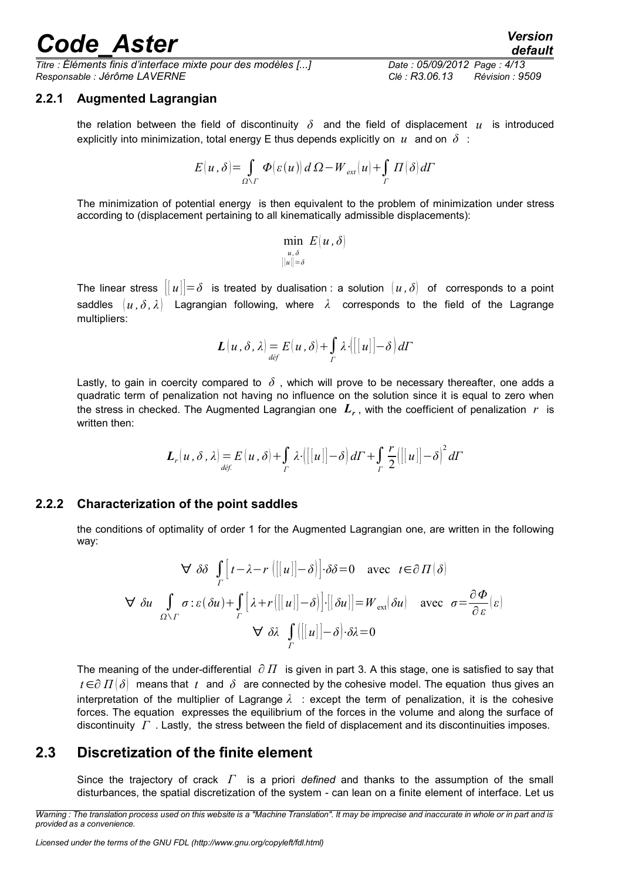*Titre : Éléments finis d'interface mixte pour des modèles [...] Date : 05/09/2012 Page : 4/13 Responsable : Jérôme LAVERNE Clé : R3.06.13 Révision : 9509*

#### **2.2.1 Augmented Lagrangian**

<span id="page-3-2"></span>the relation between the field of discontinuity *δ* and the field of displacement *u* is introduced explicitly into minimization, total energy E thus depends explicitly on  $u$  and on  $\delta$  :

$$
E(u, \delta) = \int_{\Omega \setminus \Gamma} \Phi(\varepsilon(u)) d\Omega - W_{ext}(u) + \int_{\Gamma} \Pi(\delta) d\Gamma
$$

The minimization of potential energy is then equivalent to the problem of minimization under stress according to (displacement pertaining to all kinematically admissible displacements):

$$
\min_{\substack{u,\,\delta\\([u]]=\delta}} E(u,\delta)
$$

The linear stress  $||u|| = \delta$  is treated by dualisation : a solution  $|u, \delta|$  of corresponds to a point saddles  $(u, \delta, \lambda)$  Lagrangian following, where  $\lambda$  corresponds to the field of the Lagrange multipliers:

$$
\boldsymbol{L}\left(u,\delta,\lambda\right) = E\left(u,\delta\right) + \int_{\Gamma} \lambda \cdot \left(\left[\left[u\right]\right] - \delta\right) d\Gamma
$$

Lastly, to gain in coercity compared to  $\delta$ , which will prove to be necessary thereafter, one adds a quadratic term of penalization not having no influence on the solution since it is equal to zero when the stress in checked. The Augmented Lagrangian one *L<sup>r</sup>* , with the coefficient of penalization *r* is written then:

$$
L_r(u, \delta, \lambda) = E(u, \delta) + \int_{\Gamma} \lambda \cdot ([[u]] - \delta) d\Gamma + \int_{\Gamma} \frac{r}{2} ([[u]] - \delta)^2 d\Gamma
$$

#### **2.2.2 Characterization of the point saddles**

<span id="page-3-1"></span>the conditions of optimality of order 1 for the Augmented Lagrangian one, are written in the following way:

$$
\forall \delta \delta \int_{\Gamma} \left[ t - \lambda - r \left( [[u]] - \delta \right) \right] \cdot \delta \delta = 0 \quad \text{avec} \quad t \in \partial \Pi(\delta)
$$
  

$$
\forall \delta u \int_{\Omega \setminus \Gamma} \sigma : \varepsilon(\delta u) + \int_{\Gamma} \left[ \lambda + r \left( [[u]] - \delta \right) \right] \cdot \left[ [\delta u] \right] = W_{\text{ext}}(\delta u) \quad \text{avec} \quad \sigma = \frac{\partial \Phi}{\partial \varepsilon}(\varepsilon)
$$
  

$$
\forall \delta \lambda \int_{\Gamma} \left( [[u]] - \delta \right) \cdot \delta \lambda = 0
$$

The meaning of the under-differential ∂ *Π* is given in part [3.](#page-6-2) A this stage, one is satisfied to say that  $t \in \partial \Pi(\delta)$  means that  $t$  and  $\delta$  are connected by the cohesive model. The equation thus gives an interpretation of the multiplier of Lagrange *λ* : except the term of penalization, it is the cohesive forces. The equation expresses the equilibrium of the forces in the volume and along the surface of discontinuity *Γ* . Lastly, the stress between the field of displacement and its discontinuities imposes.

### **2.3 Discretization of the finite element**

<span id="page-3-0"></span>Since the trajectory of crack *Γ* is a priori *defined* and thanks to the assumption of the small disturbances, the spatial discretization of the system - can lean on a finite element of interface. Let us

*Warning : The translation process used on this website is a "Machine Translation". It may be imprecise and inaccurate in whole or in part and is provided as a convenience.*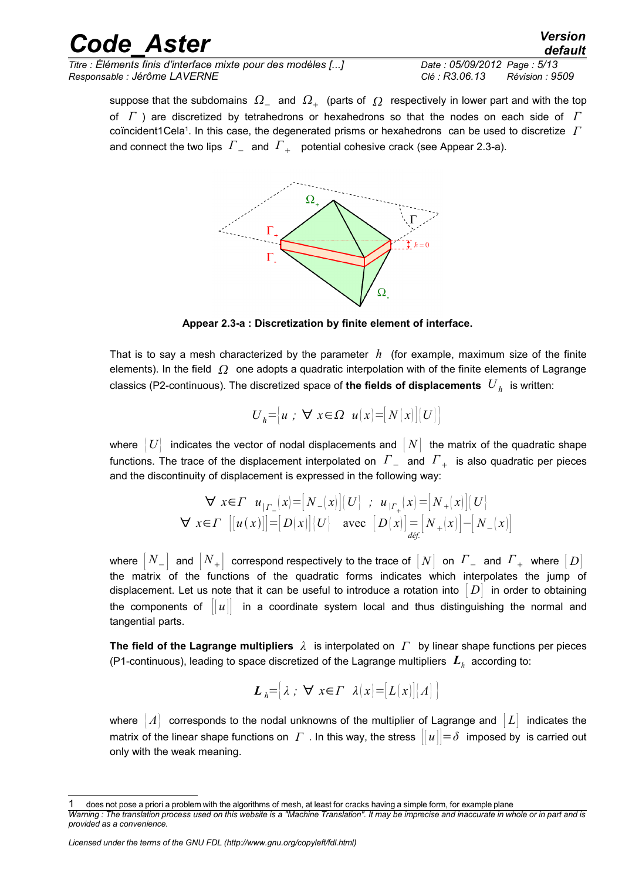| <b>Code Aster</b>                                            | <b>Version</b><br>default   |
|--------------------------------------------------------------|-----------------------------|
| Titre : Éléments finis d'interface mixte pour des modèles [] | Date: 05/09/2012 Page: 5/13 |

*Responsable : Jérôme LAVERNE Clé : R3.06.13 Révision : 9509*

suppose that the subdomains  $\Omega_{-}$  and  $\Omega_{+}$  (parts of  $\Omega$  respectively in lower part and with the top of *Γ* ) are discretized by tetrahedrons or hexahedrons so that the nodes on each side of *Γ* coïncident1Cela[1](#page-4-1) . In this case, the degenerated prisms or hexahedrons can be used to discretize *Γ* and connect the two lips  $\Gamma_-$  and  $\Gamma_+$  potential cohesive crack (see [Appear 2.3-a\)](#page-4-0).



<span id="page-4-0"></span>**Appear 2.3-a : Discretization by finite element of interface.**

That is to say a mesh characterized by the parameter *h* (for example, maximum size of the finite elements). In the field  $\Omega$  one adopts a quadratic interpolation with of the finite elements of Lagrange classics (P2-continuous). The discretized space of **the fields of displacements** *U <sup>h</sup>* is written:

$$
U_{h} = [u; \forall x \in \Omega \ u(x) = [N(x)][U]
$$

where  $|U|$  indicates the vector of nodal displacements and  $|N|$  the matrix of the quadratic shape functions. The trace of the displacement interpolated on  $\Gamma_{-}$  and  $\Gamma_{+}$  is also quadratic per pieces and the discontinuity of displacement is expressed in the following way:

$$
\forall x \in \Gamma \quad u_{|_{\Gamma_-}}(x) = |N_- (x)| [U] \quad ; \quad u_{|_{\Gamma_+}}(x) = |N_+ (x)| [U]
$$
  

$$
\forall x \in \Gamma \quad [[u(x)]] = [D(x)] [U] \quad \text{avec } \quad [D(x)] = [N_+ (x)] - [N_- (x)]
$$

where  $\begin{bmatrix} N_{-} \end{bmatrix}$  and  $\begin{bmatrix} N_{+} \end{bmatrix}$  correspond respectively to the trace of  $\begin{bmatrix} N \end{bmatrix}$  on  $\Gamma_{-}$  and  $\Gamma_{+}$  where  $\begin{bmatrix} D \end{bmatrix}$ the matrix of the functions of the quadratic forms indicates which interpolates the jump of displacement. Let us note that it can be useful to introduce a rotation into  $|D|$  in order to obtaining the components of  $||u||$  in a coordinate system local and thus distinguishing the normal and tangential parts.

**The field of the Lagrange multipliers** *λ* is interpolated on *Γ* by linear shape functions per pieces (P1-continuous), leading to space discretized of the Lagrange multipliers *L<sup>h</sup>* according to:

$$
\boldsymbol{L}_{h} = [\lambda : \forall x \in \Gamma \ \lambda(x) = [L(x)][A] \ .
$$

where { *Λ*} corresponds to the nodal unknowns of the multiplier of Lagrange and [ *L*] indicates the matrix of the linear shape functions on *Γ*. In this way, the stress  $||u|| = \delta$  imposed by is carried out only with the weak meaning.

<span id="page-4-1"></span>does not pose a priori a problem with the algorithms of mesh, at least for cracks having a simple form, for example plane *Warning : The translation process used on this website is a "Machine Translation". It may be imprecise and inaccurate in whole or in part and is provided as a convenience.*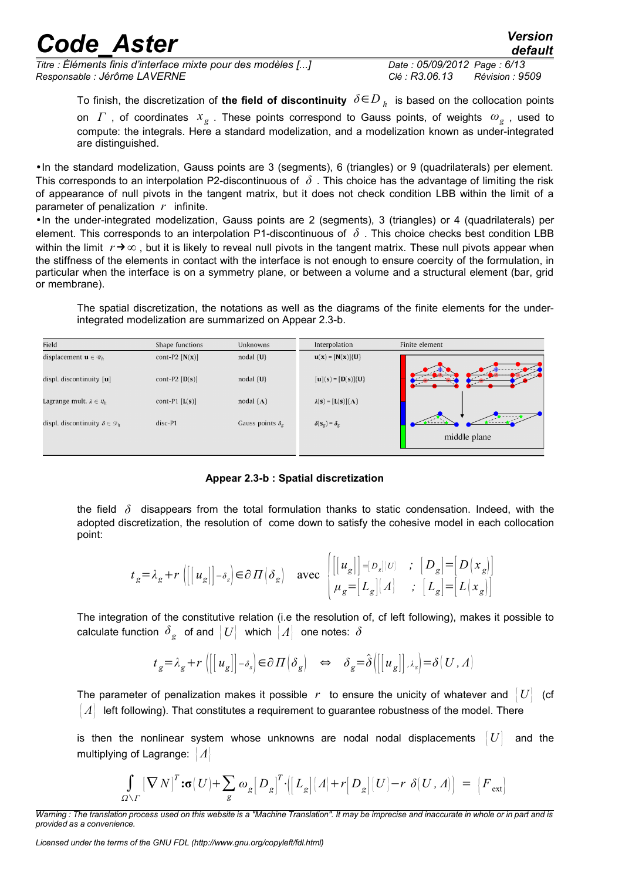*Titre : Éléments finis d'interface mixte pour des modèles [...] Date : 05/09/2012 Page : 6/13 Responsable : Jérôme LAVERNE Clé : R3.06.13 Révision : 9509*

*default*

To finish, the discretization of **the field of discontinuity**  $\,\delta \!\in\! D_{|h|}$  is based on the collocation points on *Γ* , of coordinates *x g* . These points correspond to Gauss points, of weights *ω g* , used to compute: the integrals. Here a standard modelization, and a modelization known as under-integrated are distinguished.

•In the standard modelization, Gauss points are 3 (segments), 6 (triangles) or 9 (quadrilaterals) per element. This corresponds to an interpolation P2-discontinuous of *δ* . This choice has the advantage of limiting the risk of appearance of null pivots in the tangent matrix, but it does not check condition LBB within the limit of a parameter of penalization *r* infinite.

•In the under-integrated modelization, Gauss points are 2 (segments), 3 (triangles) or 4 (quadrilaterals) per element. This corresponds to an interpolation P1-discontinuous of *δ* . This choice checks best condition LBB within the limit  $r\rightarrow\infty$ , but it is likely to reveal null pivots in the tangent matrix. These null pivots appear when the stiffness of the elements in contact with the interface is not enough to ensure coercity of the formulation, in particular when the interface is on a symmetry plane, or between a volume and a structural element (bar, grid or membrane).

The spatial discretization, the notations as well as the diagrams of the finite elements for the underintegrated modelization are summarized on [Appear 2.3-b.](#page-5-0)

| Field                                           | Shape functions  | Unknowns                      | Interpolation                                             | Finite element |
|-------------------------------------------------|------------------|-------------------------------|-----------------------------------------------------------|----------------|
| displacement $\mathbf{u} \in \mathcal{U}_h$     | cont-P2 $[N(x)]$ | nodal $\{U\}$                 | $u(x) = [N(x)]{U}$                                        |                |
| displ. discontinuity $\left[\mathbf{u}\right]$  | cont-P2 $[D(s)]$ | nodal $\{U\}$                 | $\llbracket u \rrbracket(s) = [D(s)]\{U\}$                |                |
| Lagrange mult. $\lambda \in \mathfrak{L}_h$     | cont-P1 $[L(s)]$ | nodal $\{A\}$                 | $\lambda(\mathbf{s}) = [\mathbf{L}(\mathbf{s})](\Lambda)$ |                |
| displ. discontinuity $\delta \in \mathscr{D}_h$ | disc-P1          | Gauss points $\delta_{\rm g}$ | $\delta(\mathbf{s}_g) = \delta_g$                         | middle plane   |

<span id="page-5-0"></span>**Appear 2.3-b : Spatial discretization**

the field *δ* disappears from the total formulation thanks to static condensation. Indeed, with the adopted discretization, the resolution of come down to satisfy the cohesive model in each collocation point:

$$
t_g = \lambda_g + r \left( \left[ \begin{bmatrix} u_g \end{bmatrix} \right] - \delta_s \right) \in \partial \Pi \left( \delta_g \right) \quad \text{avec} \quad \begin{cases} \left[ \begin{bmatrix} u_g \end{bmatrix} \right] = \left[ D_s \right] \left[ U \right] & ; & \left[ D_g \right] = \left[ D \left( x_g \right) \right] \\ \mu_g = \left[ L_g \right] \left[ A \right] & ; & \left[ L_g \right] = \left[ L \left( x_g \right) \right] \end{cases}
$$

The integration of the constitutive relation (i.e the resolution of, cf left following), makes it possible to  $\mathsf{calculate}$  function  $\,\delta_{\mathsf{g}}^{\phantom{\dag}}\,$  of and  $[\,U\hskip-.3pt]\,$  which  $[\,A\hskip-.3pt]\,$  one notes:  $\,\delta$ 

$$
t_g = \lambda_g + r \left( \left[ \begin{bmatrix} u_g \end{bmatrix} \right] - \delta_s \right) \in \partial \Pi \left( \delta_g \right) \quad \Leftrightarrow \quad \delta_g = \hat{\delta} \left( \left[ \begin{bmatrix} u_g \end{bmatrix} \right], \lambda_s \right) = \delta \left( U, \Lambda \right)
$$

The parameter of penalization makes it possible  $r$  to ensure the unicity of whatever and  $|U|$  (cf { *Λ*} left following). That constitutes a requirement to guarantee robustness of the model. There

is then the nonlinear system whose unknowns are nodal nodal displacements  $|U|$  and the multiplying of Lagrange: { *Λ*}

$$
\int_{\Omega \setminus \Gamma} [\nabla N]^T : \sigma(U) + \sum_{g} \omega_g [D_g]^T \cdot ([L_g][A] + r[D_g][U] - r \delta(U, A)] = [F_{ext}]
$$

*Warning : The translation process used on this website is a "Machine Translation". It may be imprecise and inaccurate in whole or in part and is provided as a convenience.*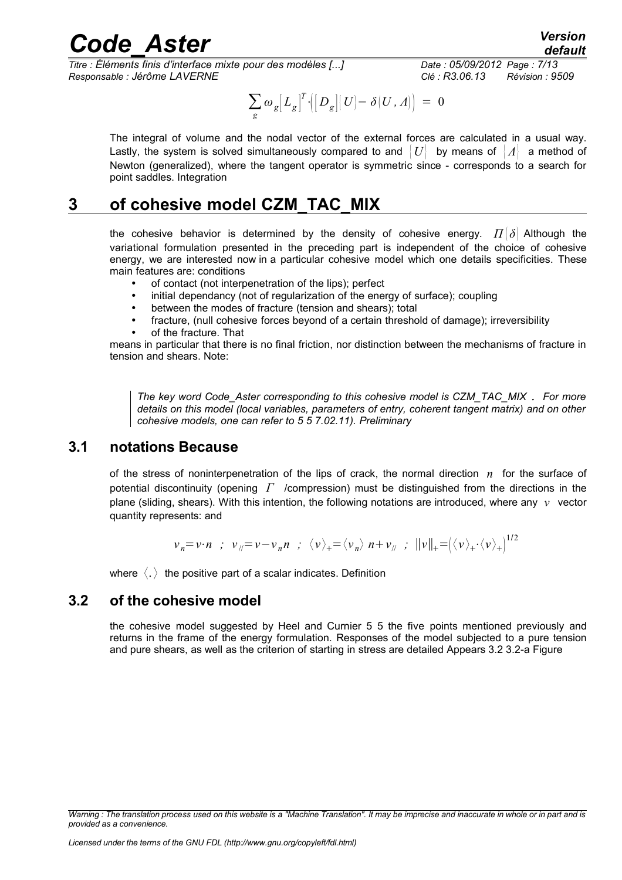$$
\sum_{g} \omega_g \big[ L_g \big]^T \cdot \Big( \big[ \, D_g \big] \big[ \, U \big] - \delta \big( U \, , \, A \big) \Big) \ = \ 0
$$

The integral of volume and the nodal vector of the external forces are calculated in a usual way. Lastly, the system is solved simultaneously compared to and  $|U|$  by means of  $|A|$  a method of Newton (generalized), where the tangent operator is symmetric since - corresponds to a search for point saddles. Integration

### **3 of cohesive model CZM\_TAC\_MIX**

<span id="page-6-2"></span>the cohesive behavior is determined by the density of cohesive energy.  $\Pi(\delta)$  Although the variational formulation presented in the preceding part is independent of the choice of cohesive energy, we are interested now in a particular cohesive model which one details specificities. These main features are: conditions

- <span id="page-6-5"></span>• of contact (not interpenetration of the lips); perfect
- <span id="page-6-4"></span>• initial dependancy (not of regularization of the energy of surface); coupling
- <span id="page-6-7"></span>• between the modes of fracture (tension and shears); total
- <span id="page-6-3"></span>• fracture, (null cohesive forces beyond of a certain threshold of damage); irreversibility
- <span id="page-6-6"></span>• of the fracture. That

means in particular that there is no final friction, nor distinction between the mechanisms of fracture in tension and shears. Note:

*The key word Code\_Aster corresponding to this cohesive model is CZM\_TAC\_MIX . For more details on this model (local variables, parameters of entry, coherent tangent matrix) and on other cohesive models, one can refer to 5 [5](#page-12-9) 7.02.11). Preliminary*

#### **3.1 notations Because**

<span id="page-6-1"></span>of the stress of noninterpenetration of the lips of crack, the normal direction *n* for the surface of potential discontinuity (opening *Γ* /compression) must be distinguished from the directions in the plane (sliding, shears). With this intention, the following notations are introduced, where any *v* vector quantity represents: and

$$
v_n = v \cdot n \; ; \; v_{n} = v - v_n n \; ; \; \langle v \rangle_+ = \langle v_n \rangle n + v_{n} \; ; \; ||v||_+ = \left| \langle v \rangle_+ \cdot \langle v \rangle_+ \right|^{1/2}
$$

<span id="page-6-0"></span>where  $\langle . \rangle$  the positive part of a scalar indicates. Definition

### **3.2 of the cohesive model**

the cohesive model suggested by Heel and Curnier 5 [5](#page-12-8) the five points mentioned previously and returns in the frame of the energy formulation. Responses of the model subjected to a pure tension and pure shears, as well as the criterion of starting in stress are detailed Appears [3.2 3.2-a](#page-7-0) Figure

*Warning : The translation process used on this website is a "Machine Translation". It may be imprecise and inaccurate in whole or in part and is provided as a convenience.*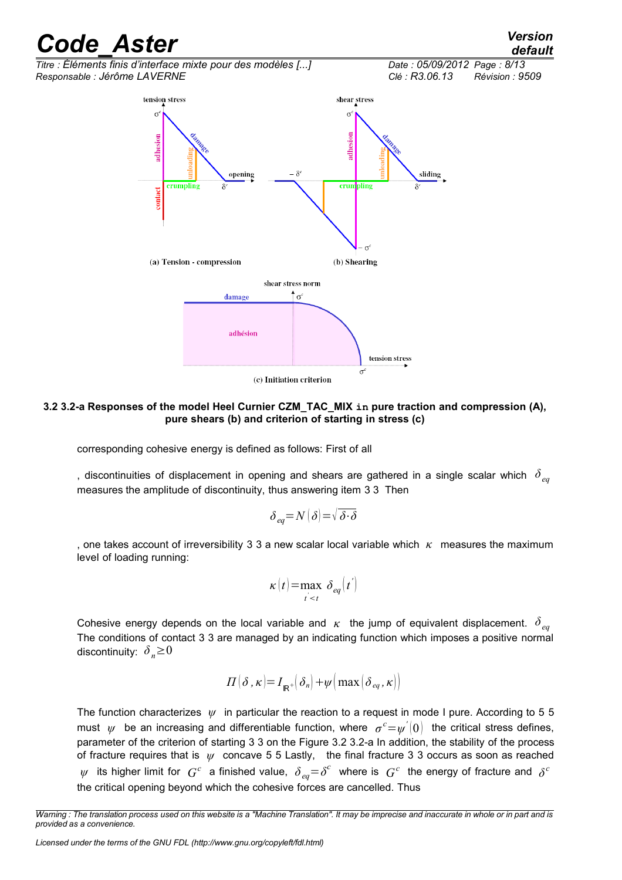*Titre : Éléments finis d'interface mixte pour des modèles [...] Date : 05/09/2012 Page : 8/13 Responsable : Jérôme LAVERNE Clé : R3.06.13 Révision : 9509*

*default*



#### <span id="page-7-0"></span>**3.2 3.2-a Responses of the model Heel Curnier CZM\_TAC\_MIX in pure traction and compression (A), pure shears (b) and criterion of starting in stress (c)**

corresponding cohesive energy is defined as follows: First of all

, discontinuities of displacement in opening and shears are gathered in a single scalar which *δ eq* measures the amplitude of discontinuity, thus answering item 3 [3](#page-6-7) Then

$$
\delta_{\text{eq}} = N(\delta) = \sqrt{\delta \cdot \delta}
$$

, one takes account of irreversibility 3 [3](#page-6-6) a new scalar local variable which *κ* measures the maximum level of loading running:

$$
\kappa(t) = \max_{t' < t} \delta_{eq}(t')
$$

Cohesive energy depends on the local variable and *κ* the jump of equivalent displacement. *δ eq* The conditions of contact 3 [3](#page-6-5) are managed by an indicating function which imposes a positive normal discontinuity:  $\delta_n \geq 0$ 

$$
\Pi(\delta, \kappa) = I_{\mathbb{R}^+}(\delta_n) + \psi \big( \max \big( \delta_{eq}, \kappa \big) \big)
$$

The function characterizes *ψ* in particular the reaction to a request in mode I pure. According to 5 [5](#page-12-6) must  $\psi$  be an increasing and differentiable function, where  $\sigma^c{=}\psi^{'}(0)$  the critical stress defines, parameter of the criterion of starting 3 [3](#page-6-4) on the Figure [3.2 3.2-a](#page-7-0) In addition, the stability of the process of fracture requires that is *ψ* concave 5 [5](#page-12-10) Lastly, the final fracture 3 [3](#page-6-3) occurs as soon as reached  $\psi$  its higher limit for  $G^c$  a finished value,  $\delta_{eq} = \delta^c$  where is  $G^c$  the energy of fracture and  $\delta^c$ the critical opening beyond which the cohesive forces are cancelled. Thus

*Licensed under the terms of the GNU FDL (http://www.gnu.org/copyleft/fdl.html)*

*Warning : The translation process used on this website is a "Machine Translation". It may be imprecise and inaccurate in whole or in part and is provided as a convenience.*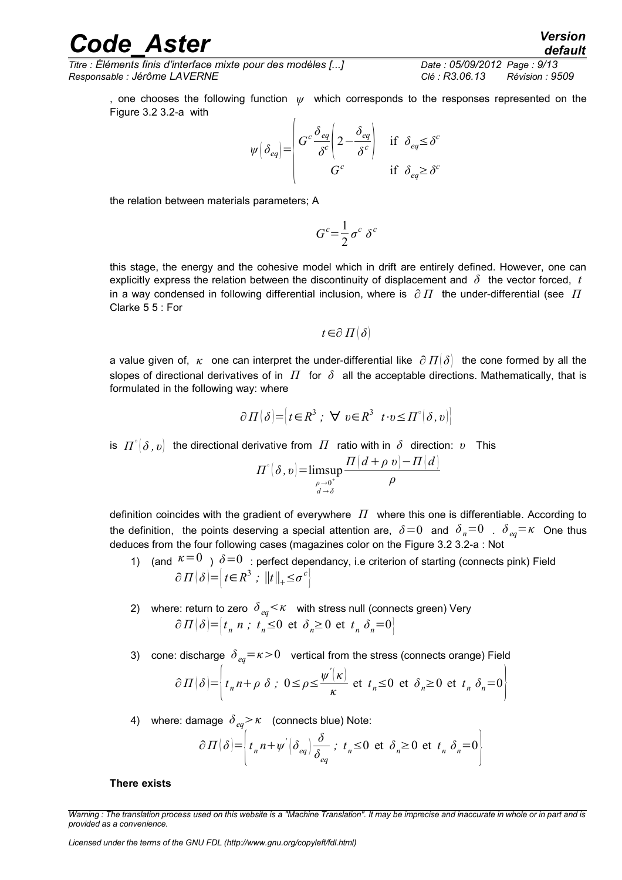*Titre : Éléments finis d'interface mixte pour des modèles [...] Date : 05/09/2012 Page : 9/13 Responsable : Jérôme LAVERNE Clé : R3.06.13 Révision : 9509*

, one chooses the following function *ψ* which corresponds to the responses represented on the Figure [3.2 3.2-a](#page-7-0) with

$$
\psi\left(\delta_{eq}\right) = \begin{pmatrix} G^c \frac{\delta_{eq}}{\delta^c} \left(2 - \frac{\delta_{eq}}{\delta^c}\right) & \text{if } \delta_{eq} \le \delta^c \\ G^c & \text{if } \delta_{eq} \ge \delta^c \end{pmatrix}
$$

the relation between materials parameters; A

$$
G^c = \frac{1}{2} \sigma^c \delta^c
$$

this stage, the energy and the cohesive model which in drift are entirely defined. However, one can explicitly express the relation between the discontinuity of displacement and  $\delta$  the vector forced, *t* in a way condensed in following differential inclusion, where is ∂ *Π* the under-differential (see *Π* Clarke 5 [5](#page-12-3) : For

$$
t \in \partial \Pi(\delta)
$$

a value given of,  $\kappa$  one can interpret the under-differential like  $\partial \Pi(\delta)$  the cone formed by all the slopes of directional derivatives of in *Π* for *δ* all the acceptable directions. Mathematically, that is formulated in the following way: where

$$
\partial \Pi(\delta) = |t \in R^3; \ \forall \ v \in R^3 \ t \cdot v \le \Pi^{\circ}(\delta, v)|
$$

is  $\varPi^{\circ}(\delta\,,\overline{\nu})$  the directional derivative from  $\varPi$  ratio with in  $\delta$  direction:  $\overline{\nu}$  This

$$
\Pi^{\circ}(\delta, v) = \limsup_{\substack{\rho \to 0^+ \\ d \to \delta}} \frac{\Pi(d + \rho v) - \Pi(d)}{\rho}
$$

definition coincides with the gradient of everywhere *Π* where this one is differentiable. According to the definition, the points deserving a special attention are,  $\delta$  = 0 and  $\delta$   $_{n}$  = 0  $.$   $\delta$   $_{eq}$  =  $\kappa$  One thus deduces from the four following cases (magazines color on the Figure [3.2 3.2-a](#page-7-0) : Not

- 1) (and  $\kappa=0$ )  $\delta=0$ : perfect dependancy, i.e criterion of starting (connects pink) Field  $\partial \Pi(\delta) = \left| t \in \mathbb{R}^3 : ||t||_+ \leq \sigma^c \right|$
- 2) where: return to zero  $\,{\partial}_{\,eq}$ < $\kappa$  with stress null (connects green) Very  $\partial \Pi(\delta) = \begin{vmatrix} t_n & n; t_n \leq 0 \end{vmatrix}$  et  $\delta_n \geq 0$  et  $t_n \delta_n = 0$
- 3) cone: discharge  $\,\delta_{\,\,eq}^{}{=}\kappa\!>\!0\,\,\,$  vertical from the stress (connects orange) Field

$$
\partial \Pi(\delta) = \left\{ t_n n + \rho \, \delta \; ; \; 0 \le \rho \le \frac{\psi'(\kappa)}{\kappa} \text{ et } t_n \le 0 \text{ et } \delta_n \ge 0 \text{ et } t_n \, \delta_n = 0 \right\}
$$

4) where: damage *δ eq κ* (connects blue) Note:

$$
\partial \Pi(\delta) = \left\{ t_n n + \psi' \left( \delta_{eq} \right) \frac{\delta}{\delta_{eq}} \ ; \ t_n \le 0 \ \text{et} \ \delta_n \ge 0 \ \text{et} \ t_n \ \delta_n = 0 \right\}
$$

#### **There exists**

*Warning : The translation process used on this website is a "Machine Translation". It may be imprecise and inaccurate in whole or in part and is provided as a convenience.*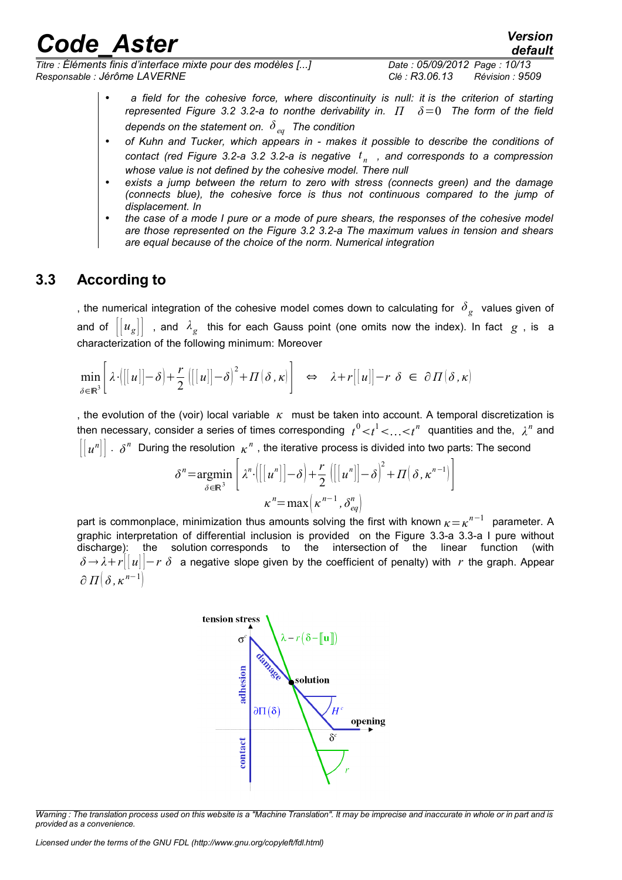*Titre : Éléments finis d'interface mixte pour des modèles [...] Date : 05/09/2012 Page : 10/13 Responsable : Jérôme LAVERNE Clé : R3.06.13 Révision : 9509*

- *a field for the cohesive force, where discontinuity is null: it is the criterion of starting represented Figure [3.2 3.2-a](#page-7-0) to nonthe derivability in. Π δ*=0 *The form of the field depends on the statement on. δ eq The condition*
- *of Kuhn and Tucker, which appears in makes it possible to describe the conditions of contact (red Figure 3.2-a [3.2 3.2-a](#page-7-0) is negative t n , and corresponds to a compression whose value is not defined by the cohesive model. There null*
- *exists a jump between the return to zero with stress (connects green) and the damage (connects blue), the cohesive force is thus not continuous compared to the jump of displacement. In*
- *the case of a mode I pure or a mode of pure shears, the responses of the cohesive model are those represented on the Figure [3.2 3.2-a](#page-7-0) The maximum values in tension and shears are equal because of the choice of the norm. Numerical integration*

### **3.3 According to**

<span id="page-9-0"></span>, the numerical integration of the cohesive model comes down to calculating for  $\delta_g^-$  values given of and of  $||u_g||$ *g* this for each Gauss point (one omits now the index). In fact *g* , is a characterization of the following minimum: Moreover

$$
\min_{\delta \in \mathbb{R}^3} \left[ \lambda \cdot \left( [[u]] - \delta \right) + \frac{r}{2} \left( [[u]] - \delta \right)^2 + \Pi(\delta, \kappa) \right] \iff \lambda + r[[u]] - r \; \delta \in \partial \Pi(\delta, \kappa)
$$

, the evolution of the (voir) local variable *κ* must be taken into account. A temporal discretization is then necessary, consider a series of times corresponding  $t^0 {<} t^1 {<} ... {<} t^n$  quantities and the,  $\lambda^n$  and  $||[u^n]||$  .  $\delta^n$  During the resolution  $\,\kappa^{\,n}$  , the iterative process is divided into two parts: The second

$$
\delta^{n} = \underset{\delta \in \mathbb{R}^{3}}{\operatorname{argmin}} \left[ \lambda^{n} \cdot \left( \left[ \left[ u^{n} \right] \right] - \delta \right) + \frac{r}{2} \left( \left[ \left[ u^{n} \right] \right] - \delta \right)^{2} + \Pi \left( \delta, \kappa^{n-1} \right) \right]
$$

$$
\kappa^{n} = \max \left( \kappa^{n-1}, \delta_{eq}^{n} \right)
$$

part is commonplace, minimization thus amounts solving the first with known  $\kappa\!=\! {\kappa^{\prime}}^{-1}\!$  parameter. A graphic interpretation of differential inclusion is provided on the Figure [3.3-a 3.3-a](#page-10-0) I pure without discharge): the solution corresponds to the intersection of the linear function (with  $\delta \rightarrow \lambda + r ||u|| - r \delta$  a negative slope given by the coefficient of penalty) with r the graph. Appear  $\partial \Pi \big( \delta, \kappa^{n-1} \big)$ 



*Warning : The translation process used on this website is a "Machine Translation". It may be imprecise and inaccurate in whole or in part and is provided as a convenience.*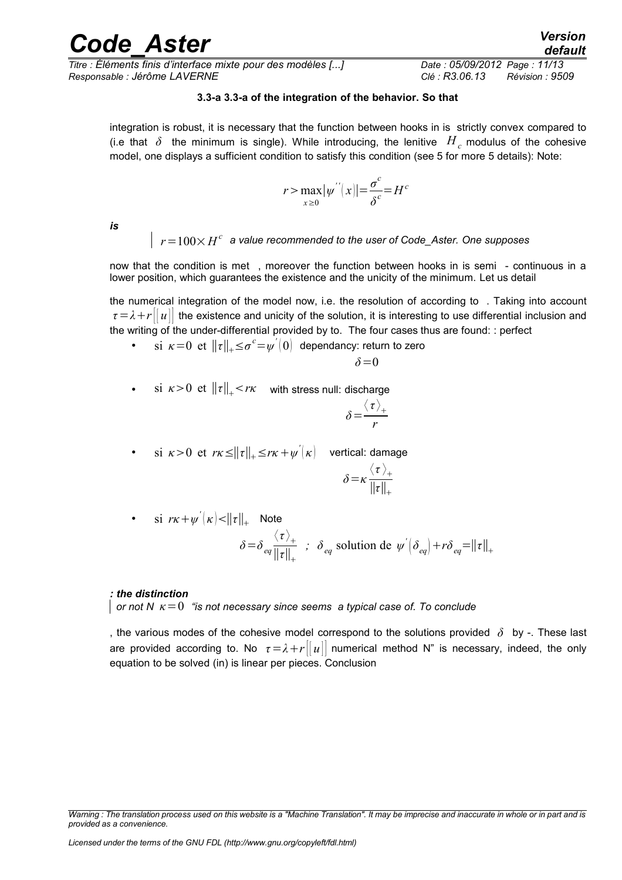*Titre : Éléments finis d'interface mixte pour des modèles [...] Date : 05/09/2012 Page : 11/13 Responsable : Jérôme LAVERNE Clé : R3.06.13 Révision : 9509*

#### <span id="page-10-0"></span>**3.3-a 3.3-a of the integration of the behavior. So that**

integration is robust, it is necessary that the function between hooks in is strictly convex compared to (i.e that  $\delta$  the minimum is single). While introducing, the lenitive  $H_c$  modulus of the cohesive model, one displays a sufficient condition to satisfy this condition (see 5 for more [5](#page-12-2) details): Note:

$$
r > \max_{x \ge 0} |\psi^{''}(x)| = \frac{\sigma^c}{\delta^c} = H^c
$$

*is*

 $r\!=\!100\!\times H^c\;$  a value recommended to the user of Code\_Aster. One supposes

now that the condition is met , moreover the function between hooks in is semi - continuous in a lower position, which guarantees the existence and the unicity of the minimum. Let us detail

the numerical integration of the model now, i.e. the resolution of according to . Taking into account  $\tau = \lambda + r ||u||$  the existence and unicity of the solution, it is interesting to use differential inclusion and the writing of the under-differential provided by to. The four cases thus are found: : perfect

• si  $\kappa = 0$  et  $||\tau||_+ \leq \sigma^c = \psi'(0)$  dependancy: return to zero

$$
\delta\!=\!0
$$

• si  $\kappa > 0$  et  $||\tau||_{\perp} < r\kappa$  with stress null: discharge

$$
\delta = \frac{\langle \tau \rangle_+}{r}
$$

• si  $\kappa > 0$  et  $r\kappa \le ||\tau||_+ \le r\kappa + \psi'(\kappa)$  vertical: damage *δ* =  $\kappa \frac{\langle \tau \rangle_+}{\sqrt{1-\mu}}$  $\|\tau\|_+$ 

• si 
$$
r\kappa + \psi'(\kappa) < ||\tau||_+
$$
 Note

$$
\delta = \delta_{eq} \frac{\langle \tau \rangle_+}{\|\tau\|_+} \; ; \; \delta_{eq} \text{ solution de } \psi^{'} \big| \delta_{eq} \big| + r \delta_{eq} = ||\tau||_+
$$

#### *: the distinction*

*or not N*  $\kappa$  = 0 *"is not necessary since seems a typical case of. To conclude* 

, the various modes of the cohesive model correspond to the solutions provided  $\delta$  by -. These last are provided according to. No  $\tau = \lambda + r ||u||$  numerical method N" is necessary, indeed, the only equation to be solved (in) is linear per pieces. Conclusion

*Warning : The translation process used on this website is a "Machine Translation". It may be imprecise and inaccurate in whole or in part and is provided as a convenience.*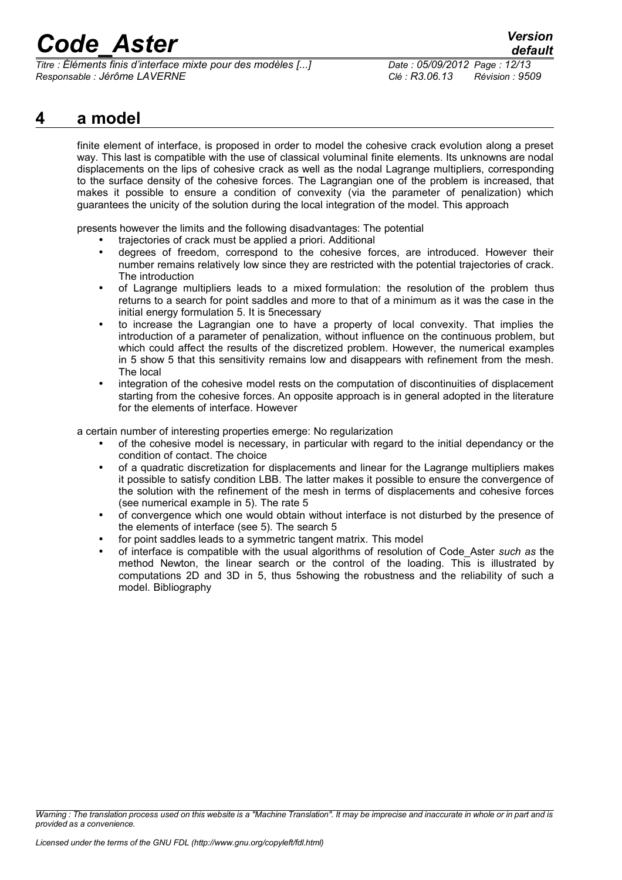*Titre : Éléments finis d'interface mixte pour des modèles [...] Date : 05/09/2012 Page : 12/13 Responsable : Jérôme LAVERNE Clé : R3.06.13 Révision : 9509*

### **4 a model**

<span id="page-11-0"></span>finite element of interface, is proposed in order to model the cohesive crack evolution along a preset way. This last is compatible with the use of classical voluminal finite elements. Its unknowns are nodal displacements on the lips of cohesive crack as well as the nodal Lagrange multipliers, corresponding to the surface density of the cohesive forces. The Lagrangian one of the problem is increased, that makes it possible to ensure a condition of convexity (via the parameter of penalization) which guarantees the unicity of the solution during the local integration of the model. This approach

presents however the limits and the following disadvantages: The potential

- trajectories of crack must be applied a priori. Additional
- degrees of freedom, correspond to the cohesive forces, are introduced. However their number remains relatively low since they are restricted with the potential trajectories of crack. The introduction
- of Lagrange multipliers leads to a mixed formulation: the resolution of the problem thus returns to a search for point saddles and more to that of a minimum as it was the case in the initial energy formulation 5. It is [5n](#page-12-7)ecessary
- to increase the Lagrangian one to have a property of local convexity. That implies the introduction of a parameter of penalization, without influence on the continuous problem, but which could affect the results of the discretized problem. However, the numerical examples in 5 show [5](#page-12-2) that this sensitivity remains low and disappears with refinement from the mesh. The local
- integration of the cohesive model rests on the computation of discontinuities of displacement starting from the cohesive forces. An opposite approach is in general adopted in the literature for the elements of interface. However

a certain number of interesting properties emerge: No regularization

- of the cohesive model is necessary, in particular with regard to the initial dependancy or the condition of contact. The choice
- of a quadratic discretization for displacements and linear for the Lagrange multipliers makes it possible to satisfy condition LBB. The latter makes it possible to ensure the convergence of the solution with the refinement of the mesh in terms of displacements and cohesive forces (see numerical example in 5). The rate [5](#page-12-2)
- of convergence which one would obtain without interface is not disturbed by the presence of the elements of interface (see 5). The search [5](#page-12-2)
- for point saddles leads to a symmetric tangent matrix. This model
- of interface is compatible with the usual algorithms of resolution of Code\_Aster *such as* the method Newton, the linear search or the control of the loading. This is illustrated by computations 2D and 3D in 5, thus [5s](#page-12-2)howing the robustness and the reliability of such a model. Bibliography

*Warning : The translation process used on this website is a "Machine Translation". It may be imprecise and inaccurate in whole or in part and is provided as a convenience.*